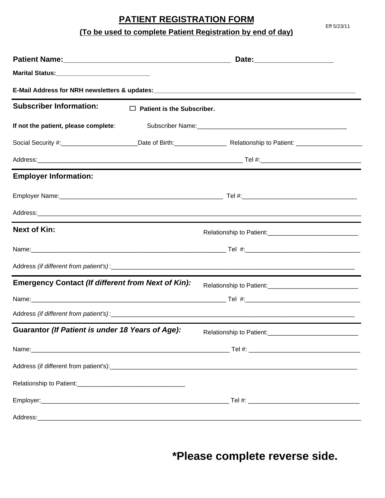# **PATIENT REGISTRATION FORM**

**(To be used to complete Patient Registration by end of day)**

| <b>Subscriber Information:</b>                            | $\Box$ Patient is the Subscriber. |                                                                                                                |  |  |  |
|-----------------------------------------------------------|-----------------------------------|----------------------------------------------------------------------------------------------------------------|--|--|--|
| If not the patient, please complete:                      |                                   | Subscriber Name: Mannel Mannel Mannel Mannel Mannel Mannel Mannel Mannel Mannel Mannel Mannel Mannel Mannel Ma |  |  |  |
|                                                           |                                   |                                                                                                                |  |  |  |
|                                                           |                                   |                                                                                                                |  |  |  |
| <b>Employer Information:</b>                              |                                   |                                                                                                                |  |  |  |
|                                                           |                                   |                                                                                                                |  |  |  |
|                                                           |                                   |                                                                                                                |  |  |  |
| <b>Next of Kin:</b>                                       |                                   |                                                                                                                |  |  |  |
|                                                           |                                   |                                                                                                                |  |  |  |
|                                                           |                                   |                                                                                                                |  |  |  |
| <b>Emergency Contact (If different from Next of Kin):</b> |                                   |                                                                                                                |  |  |  |
|                                                           |                                   |                                                                                                                |  |  |  |
|                                                           |                                   |                                                                                                                |  |  |  |
| Guarantor (If Patient is under 18 Years of Age):          |                                   | Relationship to Patient:<br><u> </u>                                                                           |  |  |  |
|                                                           |                                   |                                                                                                                |  |  |  |
|                                                           |                                   |                                                                                                                |  |  |  |
|                                                           |                                   |                                                                                                                |  |  |  |
|                                                           |                                   |                                                                                                                |  |  |  |
|                                                           |                                   |                                                                                                                |  |  |  |

**\*Please complete reverse side.**